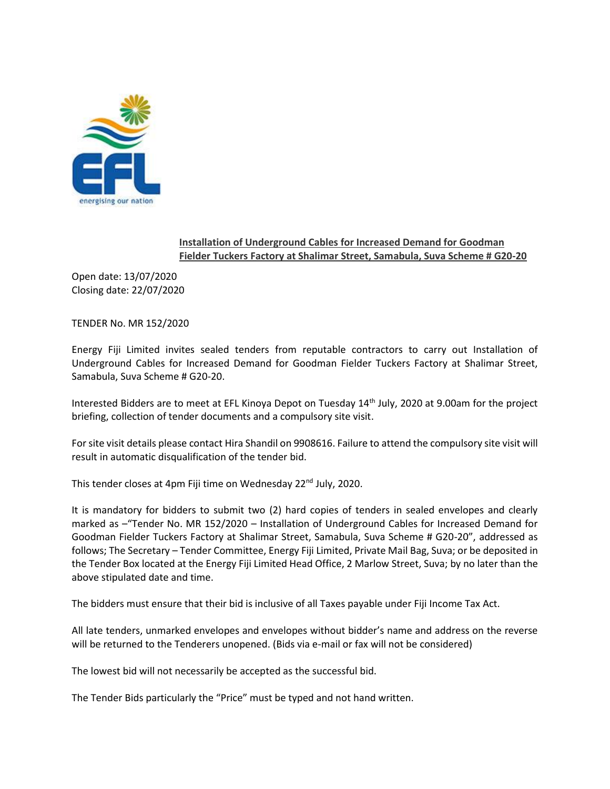

## **Installation of Underground Cables for Increased Demand for Goodman Fielder Tuckers Factory at Shalimar Street, Samabula, Suva Scheme # G20-20**

Open date: 13/07/2020 Closing date: 22/07/2020

TENDER No. MR 152/2020

Energy Fiji Limited invites sealed tenders from reputable contractors to carry out Installation of Underground Cables for Increased Demand for Goodman Fielder Tuckers Factory at Shalimar Street, Samabula, Suva Scheme # G20-20.

Interested Bidders are to meet at EFL Kinoya Depot on Tuesday 14th July, 2020 at 9.00am for the project briefing, collection of tender documents and a compulsory site visit.

For site visit details please contact Hira Shandil on 9908616. Failure to attend the compulsory site visit will result in automatic disqualification of the tender bid.

This tender closes at 4pm Fiji time on Wednesday 22<sup>nd</sup> July, 2020.

It is mandatory for bidders to submit two (2) hard copies of tenders in sealed envelopes and clearly marked as –"Tender No. MR 152/2020 – Installation of Underground Cables for Increased Demand for Goodman Fielder Tuckers Factory at Shalimar Street, Samabula, Suva Scheme # G20-20", addressed as follows; The Secretary – Tender Committee, Energy Fiji Limited, Private Mail Bag, Suva; or be deposited in the Tender Box located at the Energy Fiji Limited Head Office, 2 Marlow Street, Suva; by no later than the above stipulated date and time.

The bidders must ensure that their bid is inclusive of all Taxes payable under Fiji Income Tax Act.

All late tenders, unmarked envelopes and envelopes without bidder's name and address on the reverse will be returned to the Tenderers unopened. (Bids via e-mail or fax will not be considered)

The lowest bid will not necessarily be accepted as the successful bid.

The Tender Bids particularly the "Price" must be typed and not hand written.